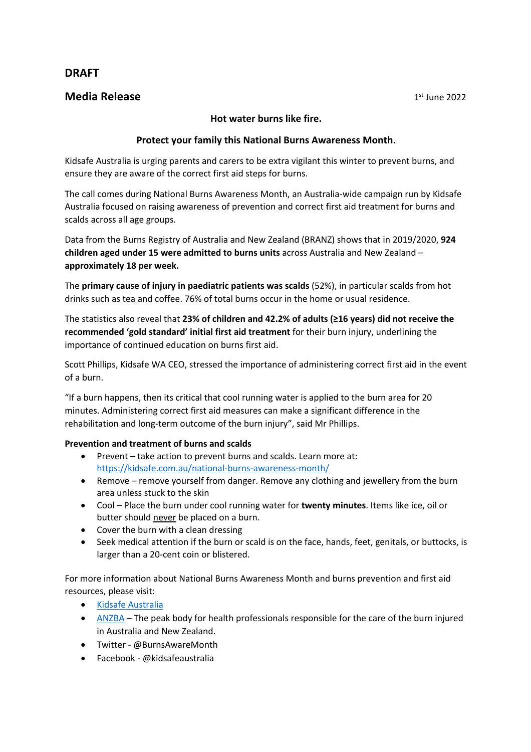# **DRAFT**

## **Media Release 1st June 2022**

#### **Hot water burns like fire.**

### **Protect your family this National Burns Awareness Month.**

Kidsafe Australia is urging parents and carers to be extra vigilant this winter to prevent burns, and ensure they are aware of the correct first aid steps for burns.

The call comes during National Burns Awareness Month, an Australia-wide campaign run by Kidsafe Australia focused on raising awareness of prevention and correct first aid treatment for burns and scalds across all age groups.

Data from the Burns Registry of Australia and New Zealand (BRANZ) shows that in 2019/2020, **924 children aged under 15 were admitted to burns units** across Australia and New Zealand – **approximately 18 per week.**

The **primary cause of injury in paediatric patients was scalds** (52%), in particular scalds from hot drinks such as tea and coffee. 76% of total burns occur in the home or usual residence.

The statistics also reveal that **23% of children and 42.2% of adults (≥16 years) did not receive the recommended 'gold standard' initial first aid treatment** for their burn injury, underlining the importance of continued education on burns first aid.

Scott Phillips, Kidsafe WA CEO, stressed the importance of administering correct first aid in the event of a burn.

"If a burn happens, then its critical that cool running water is applied to the burn area for 20 minutes. Administering correct first aid measures can make a significant difference in the rehabilitation and long-term outcome of the burn injury", said Mr Phillips.

### **Prevention and treatment of burns and scalds**

- Prevent take action to prevent burns and scalds. Learn more at: https://kidsafe.com.au/national-burns-awareness-month/
- Remove remove yourself from danger. Remove any clothing and jewellery from the burn area unless stuck to the skin
- Cool Place the burn under cool running water for **twenty minutes**. Items like ice, oil or butter should never be placed on a burn.
- Cover the burn with a clean dressing
- Seek medical attention if the burn or scald is on the face, hands, feet, genitals, or buttocks, is larger than a 20-cent coin or blistered.

For more information about National Burns Awareness Month and burns prevention and first aid resources, please visit:

- Kidsafe Australia
- $ANZBA$  The peak body for health professionals responsible for the care of the burn injured in Australia and New Zealand.
- Twitter @BurnsAwareMonth
- Facebook @kidsafeaustralia